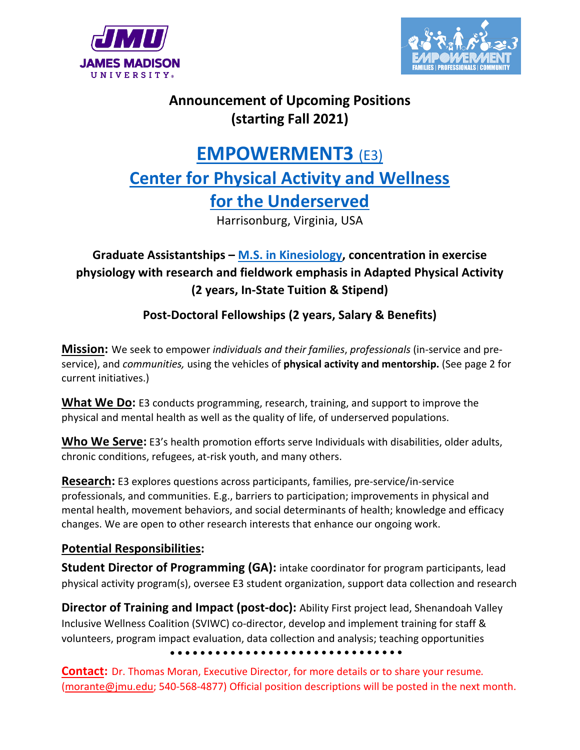



### **Announcement of Upcoming Positions (starting Fall 2021)**

# **EMPOWERMENT3** (E3) **Center for Physical Activity and Wellness for the Underserved**

Harrisonburg, Virginia, USA

#### **Graduate Assistantships – M.S. in Kinesiology, concentration in exercise physiology with research and fieldwork emphasis in Adapted Physical Activity (2 years, In-State Tuition & Stipend)**

**Post-Doctoral Fellowships (2 years, Salary & Benefits)**

**Mission:** We seek to empower *individuals and their families*, *professionals* (in-service and preservice), and *communities,* using the vehicles of **physical activity and mentorship.** (See page 2 for current initiatives.)

**What We Do:** E3 conducts programming, research, training, and support to improve the physical and mental health as well as the quality of life, of underserved populations.

**Who We Serve:** E3's health promotion efforts serve Individuals with disabilities, older adults, chronic conditions, refugees, at-risk youth, and many others.

**Research:** E3 explores questions across participants, families, pre-service/in-service professionals, and communities. E.g., barriers to participation; improvements in physical and mental health, movement behaviors, and social determinants of health; knowledge and efficacy changes. We are open to other research interests that enhance our ongoing work.

#### **Potential Responsibilities:**

**Student Director of Programming (GA):** intake coordinator for program participants, lead physical activity program(s), oversee E3 student organization, support data collection and research

**Director of Training and Impact (post-doc):** Ability First project lead, Shenandoah Valley Inclusive Wellness Coalition (SVIWC) co-director, develop and implement training for staff & volunteers, program impact evaluation, data collection and analysis; teaching opportunities

**Contact:** Dr. Thomas Moran, Executive Director, for more details or to share your resume*.*  (morante@jmu.edu; 540-568-4877) Official position descriptions will be posted in the next month.